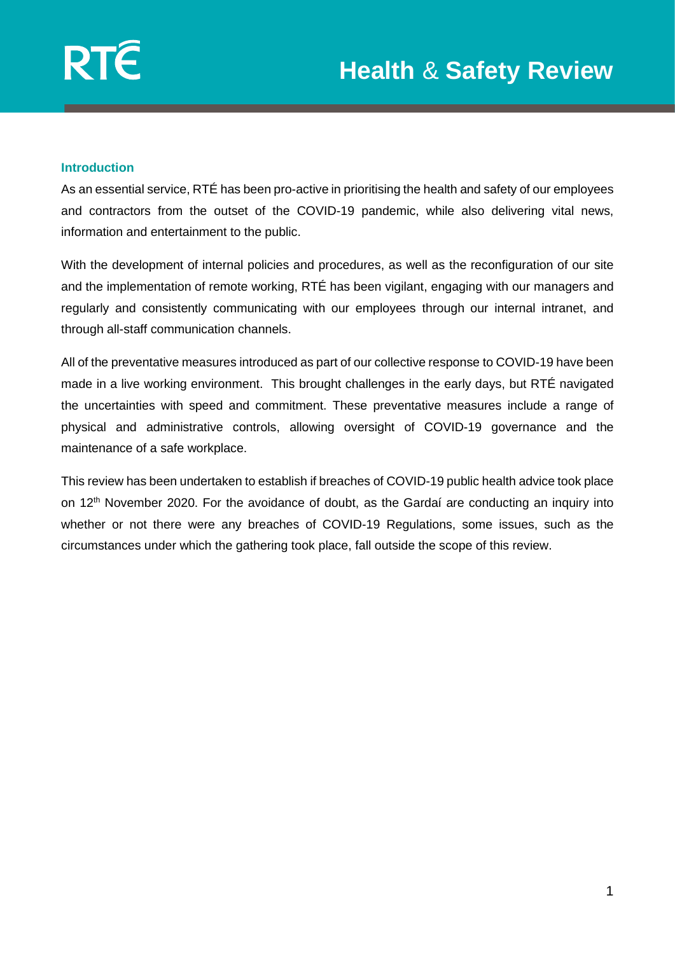#### **Introduction**

As an essential service, RTÉ has been pro-active in prioritising the health and safety of our employees and contractors from the outset of the COVID-19 pandemic, while also delivering vital news, information and entertainment to the public.

With the development of internal policies and procedures, as well as the reconfiguration of our site and the implementation of remote working, RTÉ has been vigilant, engaging with our managers and regularly and consistently communicating with our employees through our internal intranet, and through all-staff communication channels.

All of the preventative measures introduced as part of our collective response to COVID-19 have been made in a live working environment. This brought challenges in the early days, but RTÉ navigated the uncertainties with speed and commitment. These preventative measures include a range of physical and administrative controls, allowing oversight of COVID-19 governance and the maintenance of a safe workplace.

This review has been undertaken to establish if breaches of COVID-19 public health advice took place on 12<sup>th</sup> November 2020. For the avoidance of doubt, as the Gardaí are conducting an inquiry into whether or not there were any breaches of COVID-19 Regulations, some issues, such as the circumstances under which the gathering took place, fall outside the scope of this review.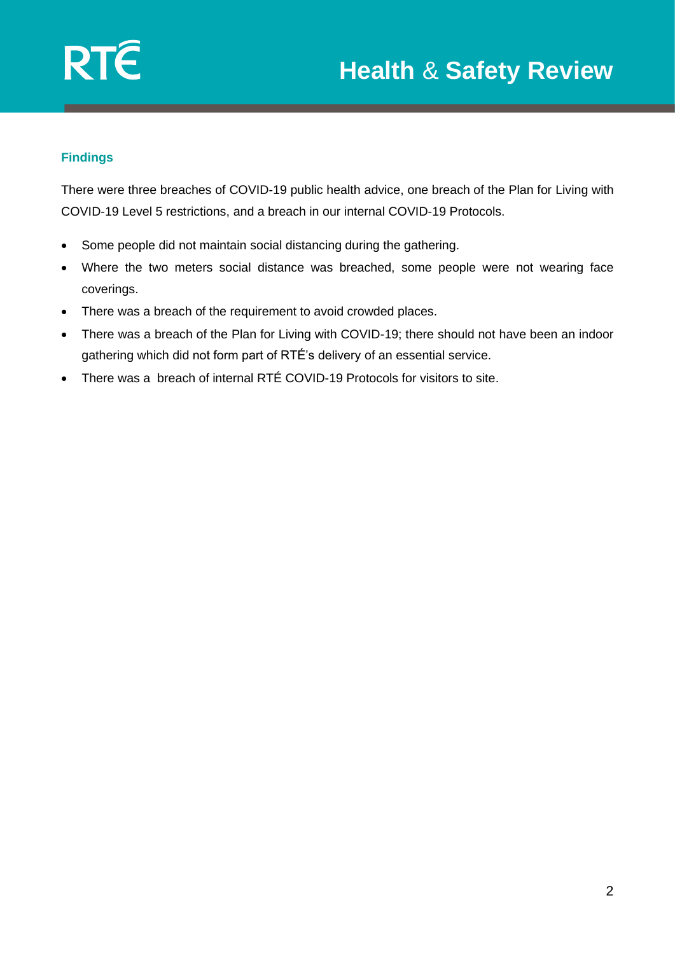

# **Findings**

There were three breaches of COVID-19 public health advice, one breach of the Plan for Living with COVID-19 Level 5 restrictions, and a breach in our internal COVID-19 Protocols.

- Some people did not maintain social distancing during the gathering.
- Where the two meters social distance was breached, some people were not wearing face coverings.
- There was a breach of the requirement to avoid crowded places.
- There was a breach of the Plan for Living with COVID-19; there should not have been an indoor gathering which did not form part of RTÉ's delivery of an essential service.
- There was a breach of internal RTÉ COVID-19 Protocols for visitors to site.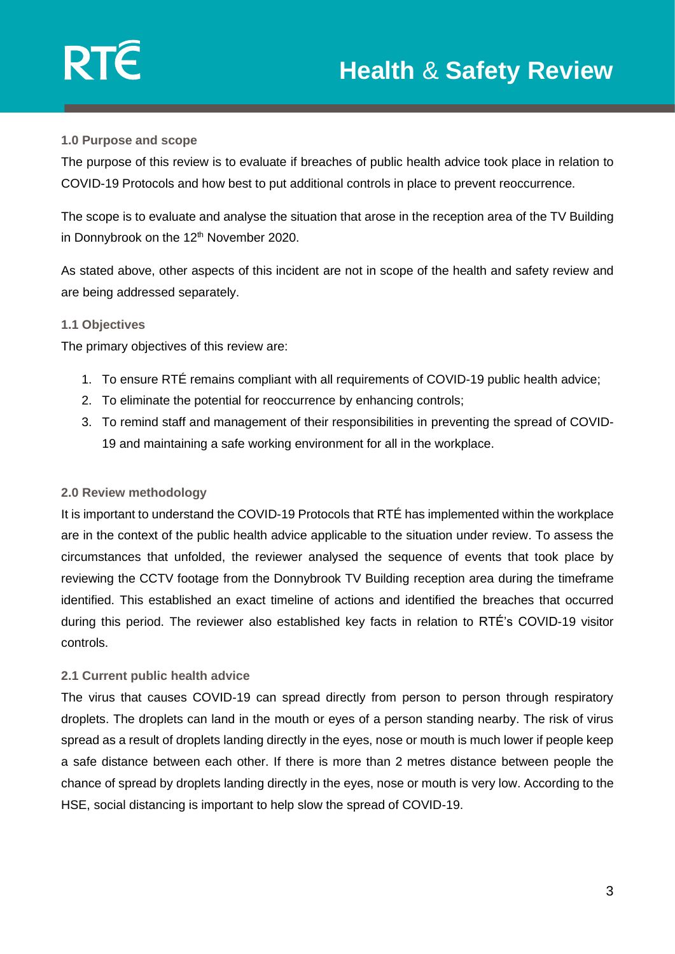

### **1.0 Purpose and scope**

The purpose of this review is to evaluate if breaches of public health advice took place in relation to COVID-19 Protocols and how best to put additional controls in place to prevent reoccurrence.

The scope is to evaluate and analyse the situation that arose in the reception area of the TV Building in Donnybrook on the 12<sup>th</sup> November 2020.

As stated above, other aspects of this incident are not in scope of the health and safety review and are being addressed separately.

### **1.1 Objectives**

The primary objectives of this review are:

- 1. To ensure RTÉ remains compliant with all requirements of COVID-19 public health advice;
- 2. To eliminate the potential for reoccurrence by enhancing controls;
- 3. To remind staff and management of their responsibilities in preventing the spread of COVID-19 and maintaining a safe working environment for all in the workplace.

## **2.0 Review methodology**

It is important to understand the COVID-19 Protocols that RTÉ has implemented within the workplace are in the context of the public health advice applicable to the situation under review. To assess the circumstances that unfolded, the reviewer analysed the sequence of events that took place by reviewing the CCTV footage from the Donnybrook TV Building reception area during the timeframe identified. This established an exact timeline of actions and identified the breaches that occurred during this period. The reviewer also established key facts in relation to RTÉ's COVID-19 visitor controls.

#### **2.1 Current public health advice**

The virus that causes COVID-19 can spread directly from person to person through respiratory droplets. The droplets can land in the mouth or eyes of a person standing nearby. The risk of virus spread as a result of droplets landing directly in the eyes, nose or mouth is much lower if people keep a safe distance between each other. If there is more than 2 metres distance between people the chance of spread by droplets landing directly in the eyes, nose or mouth is very low. According to the HSE, social distancing is important to help slow the spread of COVID-19.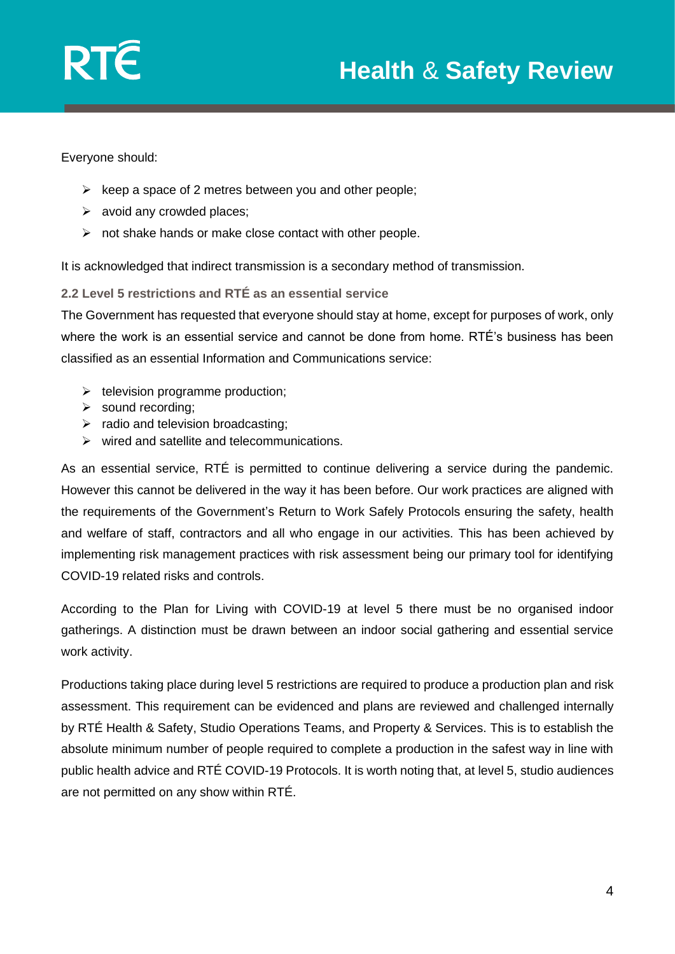

Everyone should:

- $\triangleright$  keep a space of 2 metres between you and other people;
- $\triangleright$  avoid any crowded places:
- $\triangleright$  not shake hands or make close contact with other people.

It is acknowledged that indirect transmission is a secondary method of transmission.

**2.2 Level 5 restrictions and RTÉ as an essential service**

The Government has requested that everyone should stay at home, except for purposes of work, only where the work is an essential service and cannot be done from home. RTÉ's business has been classified as an essential Information and Communications service:

- $\triangleright$  television programme production;
- ➢ sound recording;
- $\triangleright$  radio and television broadcasting;
- ➢ wired and satellite and telecommunications.

As an essential service, RTÉ is permitted to continue delivering a service during the pandemic. However this cannot be delivered in the way it has been before. Our work practices are aligned with the requirements of the Government's Return to Work Safely Protocols ensuring the safety, health and welfare of staff, contractors and all who engage in our activities. This has been achieved by implementing risk management practices with risk assessment being our primary tool for identifying COVID-19 related risks and controls.

According to the Plan for Living with COVID-19 at level 5 there must be no organised indoor gatherings. A distinction must be drawn between an indoor social gathering and essential service work activity.

Productions taking place during level 5 restrictions are required to produce a production plan and risk assessment. This requirement can be evidenced and plans are reviewed and challenged internally by RTÉ Health & Safety, Studio Operations Teams, and Property & Services. This is to establish the absolute minimum number of people required to complete a production in the safest way in line with public health advice and RTÉ COVID-19 Protocols. It is worth noting that, at level 5, studio audiences are not permitted on any show within RTÉ.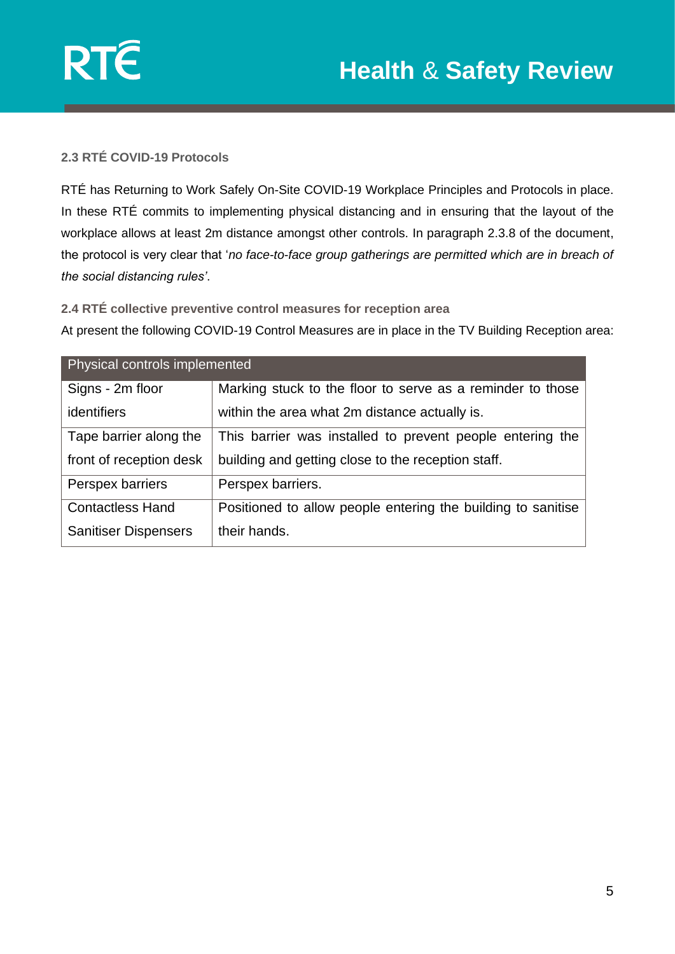

# **2.3 RTÉ COVID-19 Protocols**

RTÉ has Returning to Work Safely On-Site COVID-19 Workplace Principles and Protocols in place. In these RTÉ commits to implementing physical distancing and in ensuring that the layout of the workplace allows at least 2m distance amongst other controls. In paragraph 2.3.8 of the document, the protocol is very clear that '*no face-to-face group gatherings are permitted which are in breach of the social distancing rules'*.

#### **2.4 RTÉ collective preventive control measures for reception area**

At present the following COVID-19 Control Measures are in place in the TV Building Reception area:

| Physical controls implemented |                                                              |
|-------------------------------|--------------------------------------------------------------|
| Signs - 2m floor              | Marking stuck to the floor to serve as a reminder to those   |
| identifiers                   | within the area what 2m distance actually is.                |
| Tape barrier along the        | This barrier was installed to prevent people entering the    |
| front of reception desk       | building and getting close to the reception staff.           |
| Perspex barriers              | Perspex barriers.                                            |
| <b>Contactless Hand</b>       | Positioned to allow people entering the building to sanitise |
| <b>Sanitiser Dispensers</b>   | their hands.                                                 |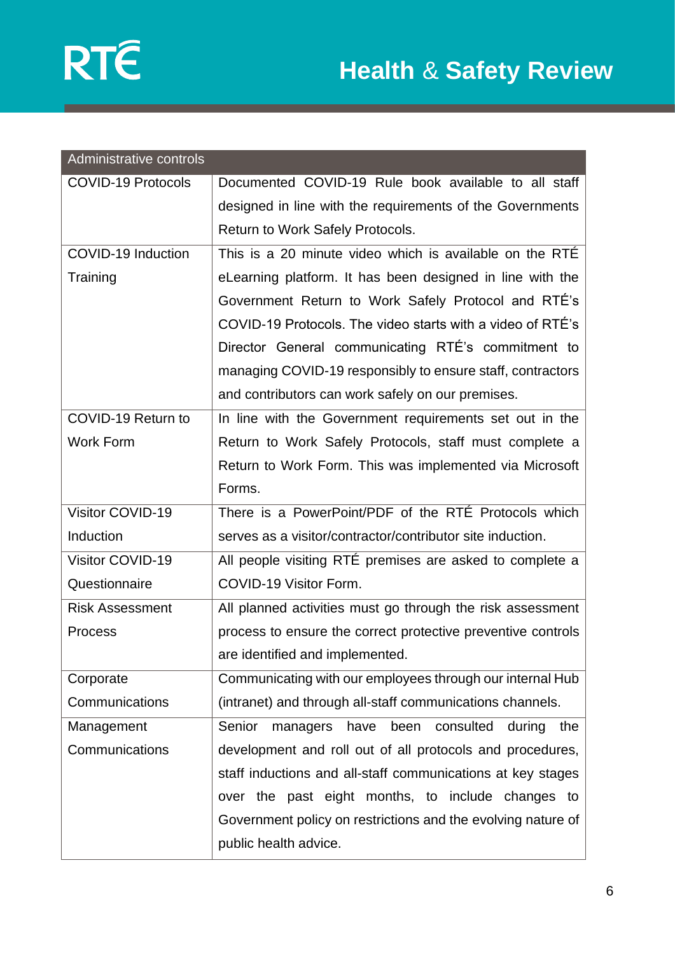

| Administrative controls   |                                                              |
|---------------------------|--------------------------------------------------------------|
| <b>COVID-19 Protocols</b> | Documented COVID-19 Rule book available to all staff         |
|                           | designed in line with the requirements of the Governments    |
|                           | Return to Work Safely Protocols.                             |
| COVID-19 Induction        | This is a 20 minute video which is available on the RTE      |
| Training                  | eLearning platform. It has been designed in line with the    |
|                           | Government Return to Work Safely Protocol and RTE's          |
|                           | COVID-19 Protocols. The video starts with a video of RTE's   |
|                           | Director General communicating RTÉ's commitment to           |
|                           | managing COVID-19 responsibly to ensure staff, contractors   |
|                           | and contributors can work safely on our premises.            |
| COVID-19 Return to        | In line with the Government requirements set out in the      |
| <b>Work Form</b>          | Return to Work Safely Protocols, staff must complete a       |
|                           | Return to Work Form. This was implemented via Microsoft      |
|                           | Forms.                                                       |
| Visitor COVID-19          | There is a PowerPoint/PDF of the RTÉ Protocols which         |
| Induction                 | serves as a visitor/contractor/contributor site induction.   |
| Visitor COVID-19          | All people visiting RTÉ premises are asked to complete a     |
| Questionnaire             | COVID-19 Visitor Form.                                       |
| <b>Risk Assessment</b>    | All planned activities must go through the risk assessment   |
| <b>Process</b>            | process to ensure the correct protective preventive controls |
|                           | are identified and implemented.                              |
| Corporate                 | Communicating with our employees through our internal Hub    |
| Communications            | (intranet) and through all-staff communications channels.    |
| Management                | Senior<br>managers<br>have been consulted<br>during<br>the   |
| Communications            | development and roll out of all protocols and procedures,    |
|                           | staff inductions and all-staff communications at key stages  |
|                           | over the past eight months, to include changes to            |
|                           | Government policy on restrictions and the evolving nature of |
|                           | public health advice.                                        |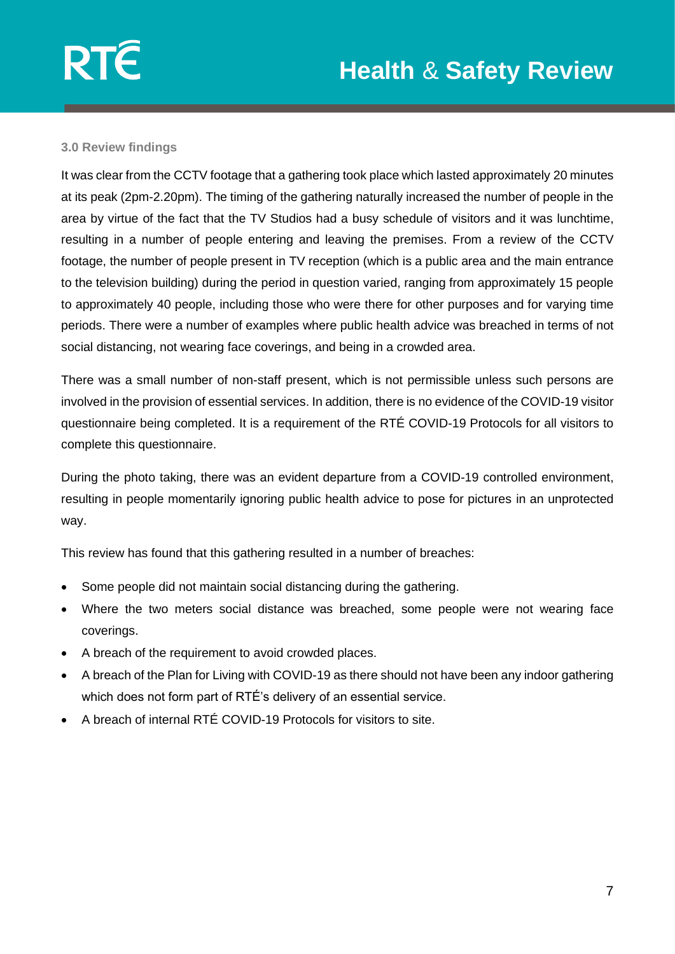## **3.0 Review findings**

It was clear from the CCTV footage that a gathering took place which lasted approximately 20 minutes at its peak (2pm-2.20pm). The timing of the gathering naturally increased the number of people in the area by virtue of the fact that the TV Studios had a busy schedule of visitors and it was lunchtime, resulting in a number of people entering and leaving the premises. From a review of the CCTV footage, the number of people present in TV reception (which is a public area and the main entrance to the television building) during the period in question varied, ranging from approximately 15 people to approximately 40 people, including those who were there for other purposes and for varying time periods. There were a number of examples where public health advice was breached in terms of not social distancing, not wearing face coverings, and being in a crowded area.

There was a small number of non-staff present, which is not permissible unless such persons are involved in the provision of essential services. In addition, there is no evidence of the COVID-19 visitor questionnaire being completed. It is a requirement of the RTÉ COVID-19 Protocols for all visitors to complete this questionnaire.

During the photo taking, there was an evident departure from a COVID-19 controlled environment, resulting in people momentarily ignoring public health advice to pose for pictures in an unprotected way.

This review has found that this gathering resulted in a number of breaches:

- Some people did not maintain social distancing during the gathering.
- Where the two meters social distance was breached, some people were not wearing face coverings.
- A breach of the requirement to avoid crowded places.
- A breach of the Plan for Living with COVID-19 as there should not have been any indoor gathering which does not form part of RTÉ's delivery of an essential service.
- A breach of internal RTÉ COVID-19 Protocols for visitors to site.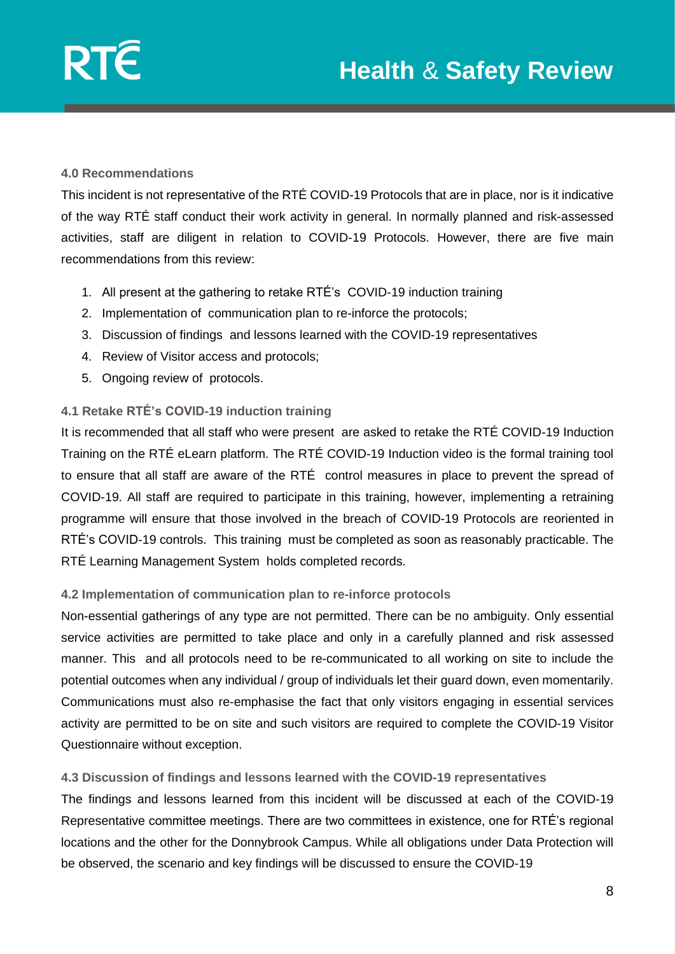

### **4.0 Recommendations**

This incident is not representative of the RTÉ COVID-19 Protocols that are in place, nor is it indicative of the way RTÉ staff conduct their work activity in general. In normally planned and risk-assessed activities, staff are diligent in relation to COVID-19 Protocols. However, there are five main recommendations from this review:

- 1. All present at the gathering to retake RTÉ's COVID-19 induction training
- 2. Implementation of communication plan to re-inforce the protocols;
- 3. Discussion of findings and lessons learned with the COVID-19 representatives
- 4. Review of Visitor access and protocols;
- 5. Ongoing review of protocols.

# **4.1 Retake RTÉ's COVID-19 induction training**

It is recommended that all staff who were present are asked to retake the RTÉ COVID-19 Induction Training on the RTÉ eLearn platform. The RTÉ COVID-19 Induction video is the formal training tool to ensure that all staff are aware of the RTÉ control measures in place to prevent the spread of COVID-19. All staff are required to participate in this training, however, implementing a retraining programme will ensure that those involved in the breach of COVID-19 Protocols are reoriented in RTÉ's COVID-19 controls. This training must be completed as soon as reasonably practicable. The RTÉ Learning Management System holds completed records.

## **4.2 Implementation of communication plan to re-inforce protocols**

Non-essential gatherings of any type are not permitted. There can be no ambiguity. Only essential service activities are permitted to take place and only in a carefully planned and risk assessed manner. This and all protocols need to be re-communicated to all working on site to include the potential outcomes when any individual / group of individuals let their guard down, even momentarily. Communications must also re-emphasise the fact that only visitors engaging in essential services activity are permitted to be on site and such visitors are required to complete the COVID-19 Visitor Questionnaire without exception.

## **4.3 Discussion of findings and lessons learned with the COVID-19 representatives**

The findings and lessons learned from this incident will be discussed at each of the COVID-19 Representative committee meetings. There are two committees in existence, one for RTÉ's regional locations and the other for the Donnybrook Campus. While all obligations under Data Protection will be observed, the scenario and key findings will be discussed to ensure the COVID-19